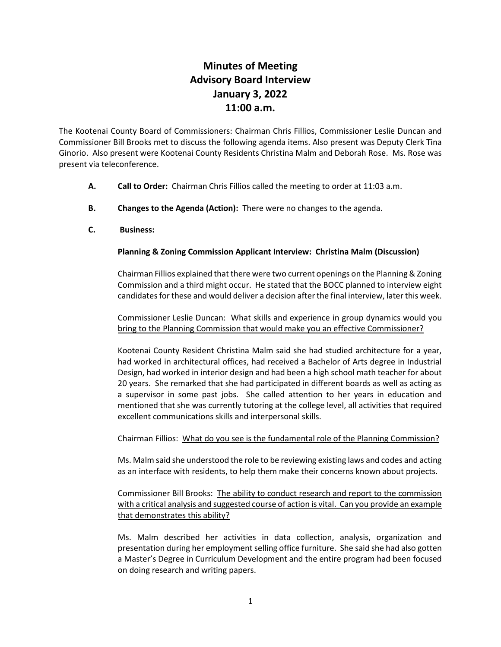# **Minutes of Meeting Advisory Board Interview January 3, 2022 11:00 a.m.**

The Kootenai County Board of Commissioners: Chairman Chris Fillios, Commissioner Leslie Duncan and Commissioner Bill Brooks met to discuss the following agenda items. Also present was Deputy Clerk Tina Ginorio. Also present were Kootenai County Residents Christina Malm and Deborah Rose. Ms. Rose was present via teleconference.

- **A. Call to Order:** Chairman Chris Fillios called the meeting to order at 11:03 a.m.
- **B. Changes to the Agenda (Action):** There were no changes to the agenda.
- **C. Business:**

## **Planning & Zoning Commission Applicant Interview: Christina Malm (Discussion)**

Chairman Fillios explained that there were two current openings on the Planning & Zoning Commission and a third might occur. He stated that the BOCC planned to interview eight candidates for these and would deliver a decision after the final interview, later this week.

Commissioner Leslie Duncan: What skills and experience in group dynamics would you bring to the Planning Commission that would make you an effective Commissioner?

Kootenai County Resident Christina Malm said she had studied architecture for a year, had worked in architectural offices, had received a Bachelor of Arts degree in Industrial Design, had worked in interior design and had been a high school math teacher for about 20 years. She remarked that she had participated in different boards as well as acting as a supervisor in some past jobs. She called attention to her years in education and mentioned that she was currently tutoring at the college level, all activities that required excellent communications skills and interpersonal skills.

## Chairman Fillios: What do you see is the fundamental role of the Planning Commission?

Ms. Malm said she understood the role to be reviewing existing laws and codes and acting as an interface with residents, to help them make their concerns known about projects.

Commissioner Bill Brooks: The ability to conduct research and report to the commission with a critical analysis and suggested course of action is vital. Can you provide an example that demonstrates this ability?

Ms. Malm described her activities in data collection, analysis, organization and presentation during her employment selling office furniture. She said she had also gotten a Master's Degree in Curriculum Development and the entire program had been focused on doing research and writing papers.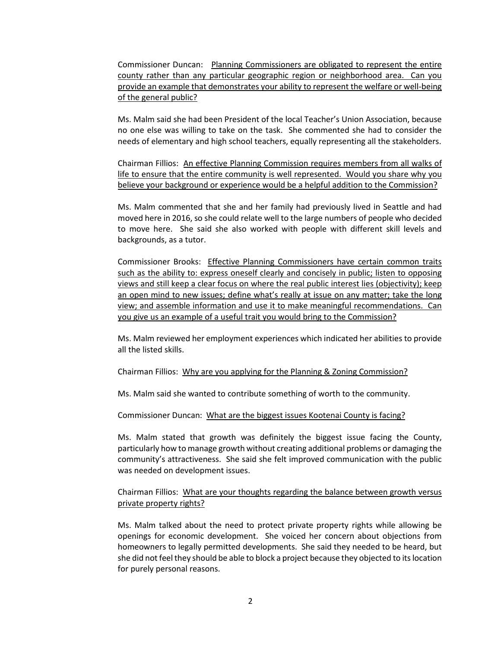Commissioner Duncan: Planning Commissioners are obligated to represent the entire county rather than any particular geographic region or neighborhood area. Can you provide an example that demonstrates your ability to represent the welfare or well-being of the general public?

Ms. Malm said she had been President of the local Teacher's Union Association, because no one else was willing to take on the task. She commented she had to consider the needs of elementary and high school teachers, equally representing all the stakeholders.

Chairman Fillios: An effective Planning Commission requires members from all walks of life to ensure that the entire community is well represented. Would you share why you believe your background or experience would be a helpful addition to the Commission?

Ms. Malm commented that she and her family had previously lived in Seattle and had moved here in 2016, so she could relate well to the large numbers of people who decided to move here. She said she also worked with people with different skill levels and backgrounds, as a tutor.

Commissioner Brooks: Effective Planning Commissioners have certain common traits such as the ability to: express oneself clearly and concisely in public; listen to opposing views and still keep a clear focus on where the real public interest lies (objectivity); keep an open mind to new issues; define what's really at issue on any matter; take the long view; and assemble information and use it to make meaningful recommendations. Can you give us an example of a useful trait you would bring to the Commission?

Ms. Malm reviewed her employment experiences which indicated her abilities to provide all the listed skills.

Chairman Fillios: Why are you applying for the Planning & Zoning Commission?

Ms. Malm said she wanted to contribute something of worth to the community.

Commissioner Duncan: What are the biggest issues Kootenai County is facing?

Ms. Malm stated that growth was definitely the biggest issue facing the County, particularly how to manage growth without creating additional problems or damaging the community's attractiveness. She said she felt improved communication with the public was needed on development issues.

#### Chairman Fillios: What are your thoughts regarding the balance between growth versus private property rights?

Ms. Malm talked about the need to protect private property rights while allowing be openings for economic development. She voiced her concern about objections from homeowners to legally permitted developments. She said they needed to be heard, but she did not feel they should be able to block a project because they objected to its location for purely personal reasons.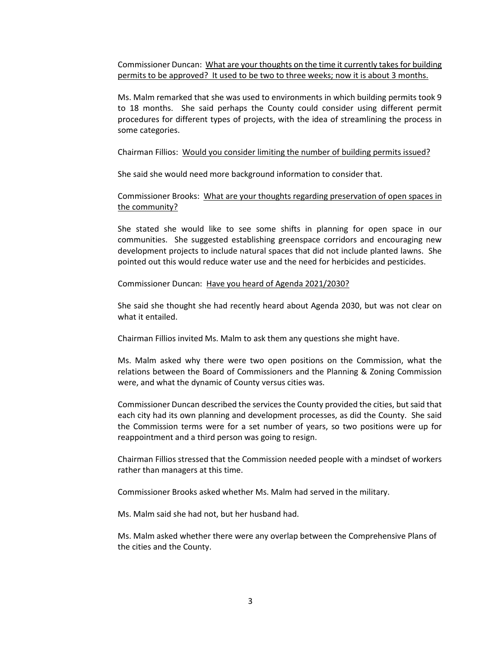Commissioner Duncan: What are your thoughts on the time it currently takes for building permits to be approved? It used to be two to three weeks; now it is about 3 months.

Ms. Malm remarked that she was used to environments in which building permits took 9 to 18 months. She said perhaps the County could consider using different permit procedures for different types of projects, with the idea of streamlining the process in some categories.

#### Chairman Fillios: Would you consider limiting the number of building permits issued?

She said she would need more background information to consider that.

Commissioner Brooks: What are your thoughts regarding preservation of open spaces in the community?

She stated she would like to see some shifts in planning for open space in our communities. She suggested establishing greenspace corridors and encouraging new development projects to include natural spaces that did not include planted lawns. She pointed out this would reduce water use and the need for herbicides and pesticides.

Commissioner Duncan: Have you heard of Agenda 2021/2030?

She said she thought she had recently heard about Agenda 2030, but was not clear on what it entailed.

Chairman Fillios invited Ms. Malm to ask them any questions she might have.

Ms. Malm asked why there were two open positions on the Commission, what the relations between the Board of Commissioners and the Planning & Zoning Commission were, and what the dynamic of County versus cities was.

Commissioner Duncan described the services the County provided the cities, but said that each city had its own planning and development processes, as did the County. She said the Commission terms were for a set number of years, so two positions were up for reappointment and a third person was going to resign.

Chairman Fillios stressed that the Commission needed people with a mindset of workers rather than managers at this time.

Commissioner Brooks asked whether Ms. Malm had served in the military.

Ms. Malm said she had not, but her husband had.

Ms. Malm asked whether there were any overlap between the Comprehensive Plans of the cities and the County.